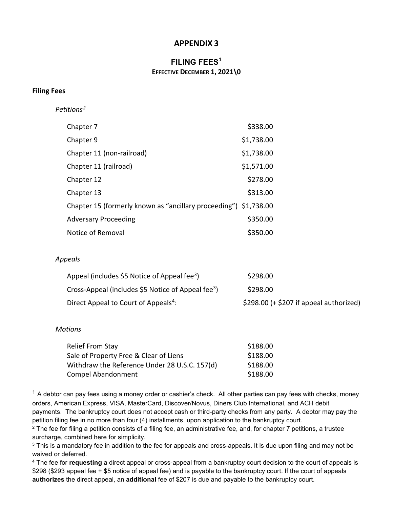## **APPENDIX 3**

## **FILING FEES[1](#page-0-1) EFFECTIVE DECEMBER 1, 2021\0**

#### **Filing Fees**

*Petitions[2](#page-0-2)*

| Chapter 7                                                        | \$338.00   |
|------------------------------------------------------------------|------------|
| Chapter 9                                                        | \$1,738.00 |
| Chapter 11 (non-railroad)                                        | \$1,738.00 |
| Chapter 11 (railroad)                                            | \$1,571.00 |
| Chapter 12                                                       | \$278.00   |
| Chapter 13                                                       | \$313.00   |
| Chapter 15 (formerly known as "ancillary proceeding") \$1,738.00 |            |
| <b>Adversary Proceeding</b>                                      | \$350.00   |
| Notice of Removal                                                | \$350.00   |

### *Appeals*

<span id="page-0-0"></span>

| Appeal (includes \$5 Notice of Appeal fee <sup>3</sup> )       | \$298.00                                |
|----------------------------------------------------------------|-----------------------------------------|
| Cross-Appeal (includes \$5 Notice of Appeal fee <sup>3</sup> ) | \$298.00                                |
| Direct Appeal to Court of Appeals <sup>4</sup> :               | $$298.00 (+ $207 if appeal authorized)$ |

#### *Motions*

| <b>Relief From Stay</b>                       | \$188.00 |
|-----------------------------------------------|----------|
| Sale of Property Free & Clear of Liens        | \$188.00 |
| Withdraw the Reference Under 28 U.S.C. 157(d) | \$188.00 |
| <b>Compel Abandonment</b>                     | \$188.00 |

<span id="page-0-1"></span> $1$  A debtor can pay fees using a money order or cashier's check. All other parties can pay fees with checks, money orders, American Express, VISA, MasterCard, Discover/Novus, Diners Club International, and ACH debit payments. The bankruptcy court does not accept cash or third-party checks from any party. A debtor may pay the petition filing fee in no more than four (4) installments, upon application to the bankruptcy court.

<span id="page-0-2"></span> $2$  The fee for filing a petition consists of a filing fee, an administrative fee, and, for chapter 7 petitions, a trustee surcharge, combined here for simplicity.

<span id="page-0-3"></span><sup>&</sup>lt;sup>3</sup> This is a mandatory fee in addition to the fee for appeals and cross-appeals. It is due upon filing and may not be waived or deferred.

<span id="page-0-4"></span><sup>4</sup> The fee for **requesting** a direct appeal or cross-appeal from a bankruptcy court decision to the court of appeals is \$298 (\$293 appeal fee + \$5 notice of appeal fee) and is payable to the bankruptcy court. If the court of appeals **authorizes** the direct appeal, an **additional** fee of \$207 is due and payable to the bankruptcy court.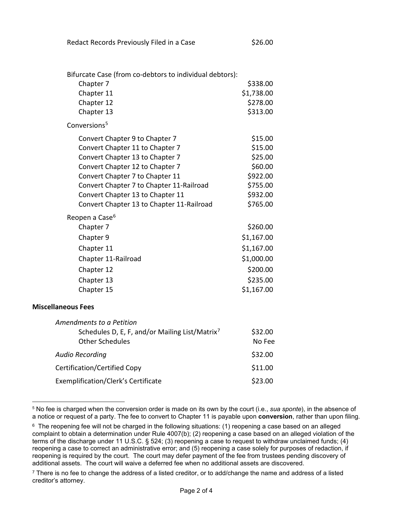| Bifurcate Case (from co-debtors to individual debtors):    |            |
|------------------------------------------------------------|------------|
| Chapter 7                                                  | \$338.00   |
| Chapter 11                                                 | \$1,738.00 |
| Chapter 12                                                 | \$278.00   |
| Chapter 13                                                 | \$313.00   |
| Conversions <sup>5</sup>                                   |            |
| Convert Chapter 9 to Chapter 7                             | \$15.00    |
| Convert Chapter 11 to Chapter 7                            | \$15.00    |
| Convert Chapter 13 to Chapter 7                            | \$25.00    |
| Convert Chapter 12 to Chapter 7                            | \$60.00    |
| Convert Chapter 7 to Chapter 11                            | \$922.00   |
| Convert Chapter 7 to Chapter 11-Railroad                   | \$755.00   |
| Convert Chapter 13 to Chapter 11                           | \$932.00   |
| Convert Chapter 13 to Chapter 11-Railroad                  | \$765.00   |
| Reopen a Case <sup>6</sup>                                 |            |
| Chapter 7                                                  | \$260.00   |
| Chapter 9                                                  | \$1,167.00 |
| Chapter 11                                                 | \$1,167.00 |
| Chapter 11-Railroad                                        | \$1,000.00 |
| Chapter 12                                                 | \$200.00   |
| Chapter 13                                                 | \$235.00   |
| Chapter 15                                                 | \$1,167.00 |
| <b>Miscellaneous Fees</b>                                  |            |
| Amendments to a Petition                                   |            |
| Schedules D, E, F, and/or Mailing List/Matrix <sup>7</sup> | \$32.00    |
| <b>Other Schedules</b>                                     | No Fee     |
| <b>Audio Recording</b>                                     | \$32.00    |
| Certification/Certified Copy                               | \$11.00    |
| Exemplification/Clerk's Certificate                        | \$23.00    |

<span id="page-1-0"></span><sup>5</sup> No fee is charged when the conversion order is made on its own by the court (i.e., *sua sponte*), in the absence of a notice or request of a party. The fee to convert to Chapter 11 is payable upon **conversion**, rather than upon filing.

<span id="page-1-1"></span><sup>&</sup>lt;sup>6</sup> The reopening fee will not be charged in the following situations: (1) reopening a case based on an alleged complaint to obtain a determination under Rule 4007(b); (2) reopening a case based on an alleged violation of the terms of the discharge under 11 U.S.C. § 524; (3) reopening a case to request to withdraw unclaimed funds; (4) reopening a case to correct an administrative error; and (5) reopening a case solely for purposes of redaction, if reopening is required by the court. The court may defer payment of the fee from trustees pending discovery of additional assets. The court will waive a deferred fee when no additional assets are discovered.

<span id="page-1-2"></span> $7$  There is no fee to change the address of a listed creditor, or to add/change the name and address of a listed creditor's attorney.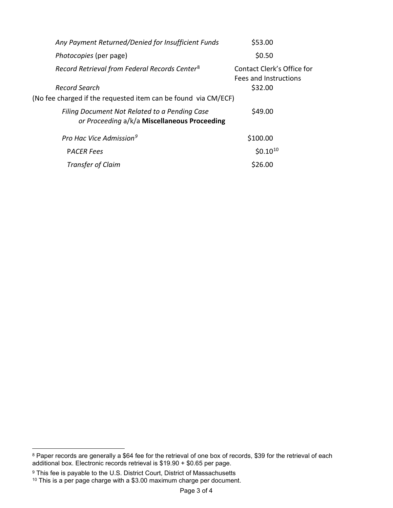| Any Payment Returned/Denied for Insufficient Funds                                            | \$53.00                                             |  |
|-----------------------------------------------------------------------------------------------|-----------------------------------------------------|--|
| Photocopies (per page)                                                                        | \$0.50                                              |  |
| Record Retrieval from Federal Records Center <sup>8</sup>                                     | Contact Clerk's Office for<br>Fees and Instructions |  |
| Record Search                                                                                 | \$32.00                                             |  |
| (No fee charged if the requested item can be found via CM/ECF)                                |                                                     |  |
| Filing Document Not Related to a Pending Case<br>or Proceeding a/k/a Miscellaneous Proceeding | \$49.00                                             |  |
| Pro Hac Vice Admission <sup>9</sup>                                                           | \$100.00                                            |  |
| <b>PACER Fees</b>                                                                             | $$0.10^{10}$                                        |  |
| Transfer of Claim                                                                             | \$26.00                                             |  |

<span id="page-2-0"></span> $^8$  Paper records are generally a \$64 fee for the retrieval of one box of records, \$39 for the retrieval of each additional box. Electronic records retrieval is \$19.90 + \$0.65 per page.

 $^9$  This fee is payable to the U.S. District Court, District of Massachusetts

<span id="page-2-2"></span><span id="page-2-1"></span> $^{\text{10}}$  This is a per page charge with a \$3.00 maximum charge per document.